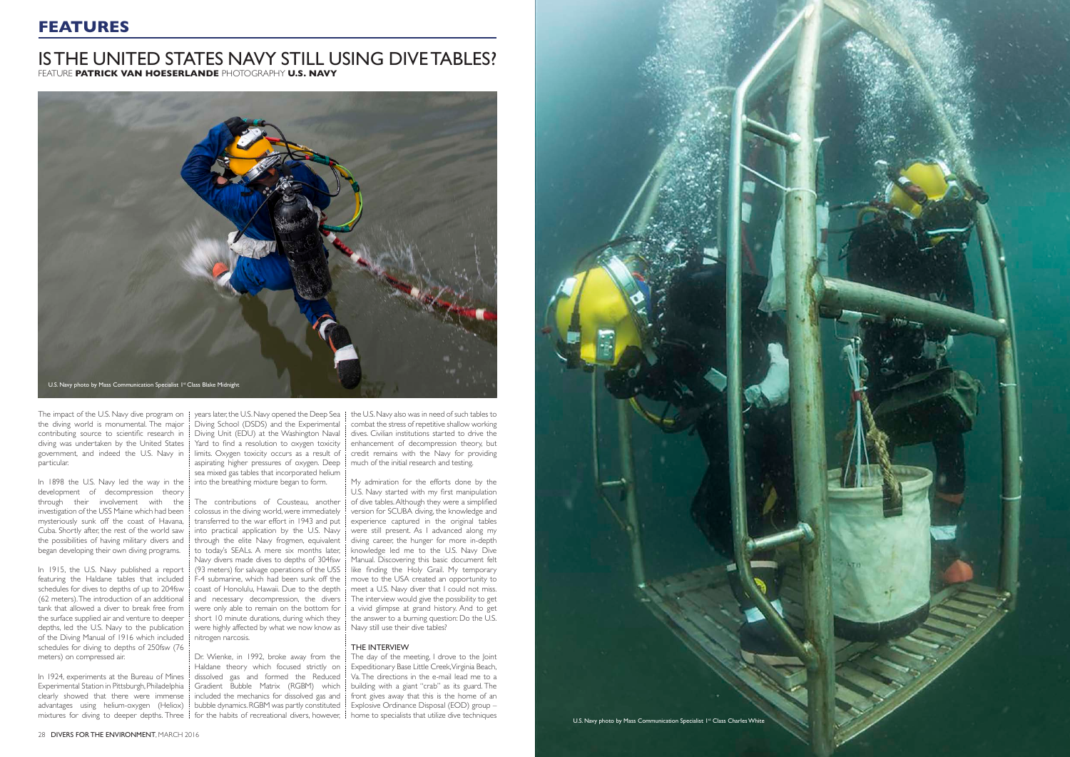## **FEATURES**

the diving world is monumental. The major contributing source to scientific research in diving was undertaken by the United States government, and indeed the U.S. Navy in particular.

In 1898 the U.S. Navy led the way in the development of decompression theory through their involvement with the investigation of the USS Maine which had been mysteriously sunk off the coast of Havana, Cuba. Shortly after, the rest of the world saw the possibilities of having military divers and began developing their own diving programs.

The impact of the U.S. Navy dive program on  $\frac{1}{2}$  years later, the U.S. Navy opened the Deep Sea Diving School (DSDS) and the Experimental Diving Unit (EDU) at the Washington Naval Yard to find a resolution to oxygen toxicity limits. Oxygen toxicity occurs as a result of aspirating higher pressures of oxygen. Deep sea mixed gas tables that incorporated helium into the breathing mixture began to form.

In 1915, the U.S. Navy published a report featuring the Haldane tables that included schedules for dives to depths of up to 204fsw (62 meters). The introduction of an additional tank that allowed a diver to break free from the surface supplied air and venture to deeper depths, led the U.S. Navy to the publication of the Diving Manual of 1916 which included schedules for diving to depths of 250fsw (76 meters) on compressed air.

The contributions of Cousteau, another colossus in the diving world, were immediately transferred to the war effort in 1943 and put into practical application by the U.S. Navy through the elite Navy frogmen, equivalent to today's SEALs. A mere six months later, Navy divers made dives to depths of 304fsw (93 meters) for salvage operations of the USS F-4 submarine, which had been sunk off the coast of Honolulu, Hawaii. Due to the depth and necessary decompression, the divers were only able to remain on the bottom for short 10 minute durations, during which they were highly affected by what we now know as nitrogen narcosis.

Dr. Wienke, in 1992, broke away from the Haldane theory which focused strictly on dissolved gas and formed the Reduced Gradient Bubble Matrix (RGBM) which included the mechanics for dissolved gas and bubble dynamics. RGBM was partly constituted

In 1924, experiments at the Bureau of Mines Experimental Station in Pittsburgh, Philadelphia clearly showed that there were immense advantages using helium-oxygen (Heliox) mixtures for diving to deeper depths. Three for the habits of recreational divers, however, home to specialists that utilize dive techniques

the U.S. Navy also was in need of such tables to combat the stress of repetitive shallow working dives. Civilian institutions started to drive the enhancement of decompression theory, but credit remains with the Navy for providing much of the initial research and testing.

My admiration for the efforts done by the U.S. Navy started with my first manipulation of dive tables. Although they were a simplified version for SCUBA diving, the knowledge and experience captured in the original tables were still present. As I advanced along my diving career, the hunger for more in-depth knowledge led me to the U.S. Navy Dive Manual. Discovering this basic document felt like finding the Holy Grail. My temporary move to the USA created an opportunity to meet a U.S. Navy diver that I could not miss. The interview would give the possibility to get a vivid glimpse at grand history. And to get the answer to a burning question: Do the U.S. Navy still use their dive tables?

### THE INTERVIEW

The day of the meeting, I drove to the Joint Expeditionary Base Little Creek, Virginia Beach, Va. The directions in the e-mail lead me to a building with a giant "crab" as its guard. The front gives away that this is the home of an Explosive Ordinance Disposal (EOD) group –

## IS THE UNITED STATES NAVY STILL USING DIVE TABLES? FEATURE **PATRICK VAN HOESERLANDE** PHOTOGRAPHY **U.S. NAVY**



28 DIVERS FOR THE ENVIRONMENT, MARCH 2016